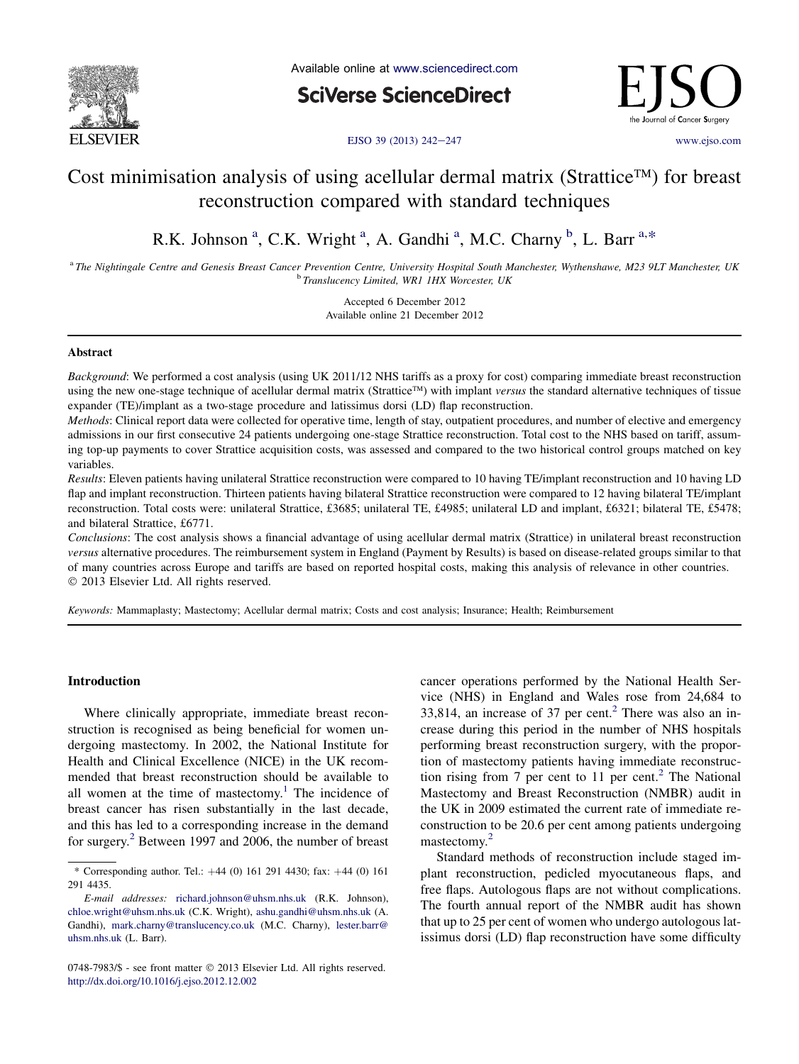

Available online at [www.sciencedirect.com](www.sciencedirect.com/science/journal/07487983)

**SciVerse ScienceDirect** 



#### [EJSO 39 \(2013\) 242](http://dx.doi.org/10.1016/j.ejso.2012.12.002)-[247](http://dx.doi.org/10.1016/j.ejso.2012.12.002) [www.ejso.com](http://www.ejso.com)

# Cost minimisation analysis of using acellular dermal matrix (Strattice<sup>TM</sup>) for breast reconstruction compared with standard techniques

R.K. Johnson<sup>a</sup>, C.K. Wright<sup>a</sup>, A. Gandhi<sup>a</sup>, M.C. Charny<sup>b</sup>, L. Barr<sup>a,\*</sup>

<sup>a</sup> The Nightingale Centre and Genesis Breast Cancer Prevention Centre, University Hospital South Manchester, Wythenshawe, M23 9LT Manchester, UK b Translucency Limited, WR1 1HX Worcester, UK

> Accepted 6 December 2012 Available online 21 December 2012

### Abstract

Background: We performed a cost analysis (using UK 2011/12 NHS tariffs as a proxy for cost) comparing immediate breast reconstruction using the new one-stage technique of acellular dermal matrix (Strattice<sup>TM</sup>) with implant *versus* the standard alternative techniques of tissue expander (TE)/implant as a two-stage procedure and latissimus dorsi (LD) flap reconstruction.

Methods: Clinical report data were collected for operative time, length of stay, outpatient procedures, and number of elective and emergency admissions in our first consecutive 24 patients undergoing one-stage Strattice reconstruction. Total cost to the NHS based on tariff, assuming top-up payments to cover Strattice acquisition costs, was assessed and compared to the two historical control groups matched on key variables.

Results: Eleven patients having unilateral Strattice reconstruction were compared to 10 having TE/implant reconstruction and 10 having LD flap and implant reconstruction. Thirteen patients having bilateral Strattice reconstruction were compared to 12 having bilateral TE/implant reconstruction. Total costs were: unilateral Strattice, £3685; unilateral TE, £4985; unilateral LD and implant, £6321; bilateral TE, £5478; and bilateral Strattice, £6771.

Conclusions: The cost analysis shows a financial advantage of using acellular dermal matrix (Strattice) in unilateral breast reconstruction versus alternative procedures. The reimbursement system in England (Payment by Results) is based on disease-related groups similar to that of many countries across Europe and tariffs are based on reported hospital costs, making this analysis of relevance in other countries. 2013 Elsevier Ltd. All rights reserved.

Keywords: Mammaplasty; Mastectomy; Acellular dermal matrix; Costs and cost analysis; Insurance; Health; Reimbursement

#### Introduction

Where clinically appropriate, immediate breast reconstruction is recognised as being beneficial for women undergoing mastectomy. In 2002, the National Institute for Health and Clinical Excellence (NICE) in the UK recommended that breast reconstruction should be available to all women at the time of mastectomy.<sup>[1](#page--1-0)</sup> The incidence of breast cancer has risen substantially in the last decade, and this has led to a corresponding increase in the demand for surgery.[2](#page--1-0) Between 1997 and 2006, the number of breast cancer operations performed by the National Health Service (NHS) in England and Wales rose from 24,684 to 33,814, an increase of 37 per cent.<sup>[2](#page--1-0)</sup> There was also an increase during this period in the number of NHS hospitals performing breast reconstruction surgery, with the proportion of mastectomy patients having immediate reconstruc-tion rising from 7 per cent to 11 per cent.<sup>[2](#page--1-0)</sup> The National Mastectomy and Breast Reconstruction (NMBR) audit in the UK in 2009 estimated the current rate of immediate reconstruction to be 20.6 per cent among patients undergoing mastectomy.<sup>[2](#page--1-0)</sup>

Standard methods of reconstruction include staged implant reconstruction, pedicled myocutaneous flaps, and free flaps. Autologous flaps are not without complications. The fourth annual report of the NMBR audit has shown that up to 25 per cent of women who undergo autologous latissimus dorsi (LD) flap reconstruction have some difficulty

<sup>\*</sup> Corresponding author. Tel.:  $+44$  (0) 161 291 4430; fax:  $+44$  (0) 161 291 4435.

E-mail addresses: [richard.johnson@uhsm.nhs.uk](mailto:richard.johnson@uhsm.nhs.uk) (R.K. Johnson), [chloe.wright@uhsm.nhs.uk](mailto:chloe.wright@uhsm.nhs.uk) (C.K. Wright), [ashu.gandhi@uhsm.nhs.uk](mailto:ashu.gandhi@uhsm.nhs.uk) (A. Gandhi), [mark.charny@translucency.co.uk](mailto:mark.charny@translucency.co.uk) (M.C. Charny), [lester.barr@](mailto:lester.barr@uhsm.nhs.uk) [uhsm.nhs.uk](mailto:lester.barr@uhsm.nhs.uk) (L. Barr).

<sup>0748-7983/\$ -</sup> see front matter © 2013 Elsevier Ltd. All rights reserved. <http://dx.doi.org/10.1016/j.ejso.2012.12.002>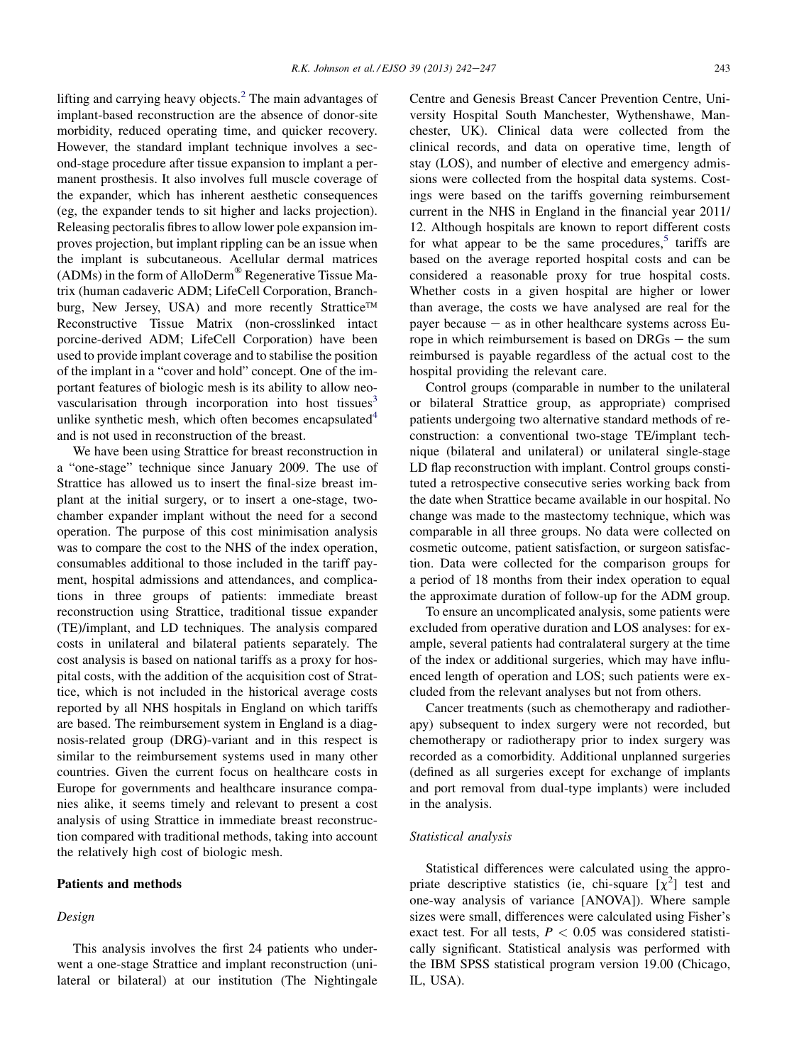lifting and carrying heavy objects.<sup>[2](#page--1-0)</sup> The main advantages of implant-based reconstruction are the absence of donor-site morbidity, reduced operating time, and quicker recovery. However, the standard implant technique involves a second-stage procedure after tissue expansion to implant a permanent prosthesis. It also involves full muscle coverage of the expander, which has inherent aesthetic consequences (eg, the expander tends to sit higher and lacks projection). Releasing pectoralis fibres to allow lower pole expansion improves projection, but implant rippling can be an issue when the implant is subcutaneous. Acellular dermal matrices (ADMs) in the form of AlloDerm<sup>®</sup> Regenerative Tissue Matrix (human cadaveric ADM; LifeCell Corporation, Branchburg, New Jersey, USA) and more recently Strattice™ Reconstructive Tissue Matrix (non-crosslinked intact porcine-derived ADM; LifeCell Corporation) have been used to provide implant coverage and to stabilise the position of the implant in a "cover and hold" concept. One of the important features of biologic mesh is its ability to allow neovascularisation through incorporation into host tissues $3$ unlike synthetic mesh, which often becomes encapsulated $4$ 

and is not used in reconstruction of the breast.

We have been using Strattice for breast reconstruction in a "one-stage" technique since January 2009. The use of Strattice has allowed us to insert the final-size breast implant at the initial surgery, or to insert a one-stage, twochamber expander implant without the need for a second operation. The purpose of this cost minimisation analysis was to compare the cost to the NHS of the index operation, consumables additional to those included in the tariff payment, hospital admissions and attendances, and complications in three groups of patients: immediate breast reconstruction using Strattice, traditional tissue expander (TE)/implant, and LD techniques. The analysis compared costs in unilateral and bilateral patients separately. The cost analysis is based on national tariffs as a proxy for hospital costs, with the addition of the acquisition cost of Strattice, which is not included in the historical average costs reported by all NHS hospitals in England on which tariffs are based. The reimbursement system in England is a diagnosis-related group (DRG)-variant and in this respect is similar to the reimbursement systems used in many other countries. Given the current focus on healthcare costs in Europe for governments and healthcare insurance companies alike, it seems timely and relevant to present a cost analysis of using Strattice in immediate breast reconstruction compared with traditional methods, taking into account the relatively high cost of biologic mesh.

#### Patients and methods

#### Design

This analysis involves the first 24 patients who underwent a one-stage Strattice and implant reconstruction (unilateral or bilateral) at our institution (The Nightingale Centre and Genesis Breast Cancer Prevention Centre, University Hospital South Manchester, Wythenshawe, Manchester, UK). Clinical data were collected from the clinical records, and data on operative time, length of stay (LOS), and number of elective and emergency admissions were collected from the hospital data systems. Costings were based on the tariffs governing reimbursement current in the NHS in England in the financial year 2011/ 12. Although hospitals are known to report different costs for what appear to be the same procedures, $5$  tariffs are based on the average reported hospital costs and can be considered a reasonable proxy for true hospital costs. Whether costs in a given hospital are higher or lower than average, the costs we have analysed are real for the payer because  $-$  as in other healthcare systems across Europe in which reimbursement is based on  $DRGs - the sum$ reimbursed is payable regardless of the actual cost to the hospital providing the relevant care.

Control groups (comparable in number to the unilateral or bilateral Strattice group, as appropriate) comprised patients undergoing two alternative standard methods of reconstruction: a conventional two-stage TE/implant technique (bilateral and unilateral) or unilateral single-stage LD flap reconstruction with implant. Control groups constituted a retrospective consecutive series working back from the date when Strattice became available in our hospital. No change was made to the mastectomy technique, which was comparable in all three groups. No data were collected on cosmetic outcome, patient satisfaction, or surgeon satisfaction. Data were collected for the comparison groups for a period of 18 months from their index operation to equal the approximate duration of follow-up for the ADM group.

To ensure an uncomplicated analysis, some patients were excluded from operative duration and LOS analyses: for example, several patients had contralateral surgery at the time of the index or additional surgeries, which may have influenced length of operation and LOS; such patients were excluded from the relevant analyses but not from others.

Cancer treatments (such as chemotherapy and radiotherapy) subsequent to index surgery were not recorded, but chemotherapy or radiotherapy prior to index surgery was recorded as a comorbidity. Additional unplanned surgeries (defined as all surgeries except for exchange of implants and port removal from dual-type implants) were included in the analysis.

## Statistical analysis

Statistical differences were calculated using the appropriate descriptive statistics (ie, chi-square  $[\chi^2]$  test and one-way analysis of variance [ANOVA]). Where sample sizes were small, differences were calculated using Fisher's exact test. For all tests,  $P < 0.05$  was considered statistically significant. Statistical analysis was performed with the IBM SPSS statistical program version 19.00 (Chicago, IL, USA).